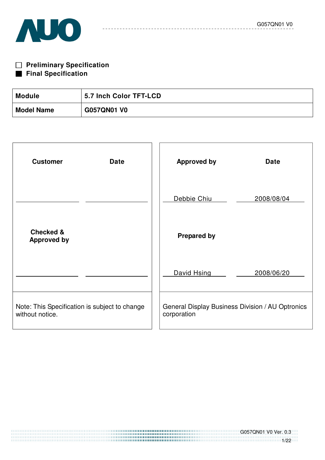



| <b>Module</b>     | 5.7 Inch Color TFT-LCD |
|-------------------|------------------------|
| <b>Model Name</b> | <b>G057QN01 V0</b>     |

 $- - - - - - - - -$ 

| <b>Customer</b><br><b>Date</b>                                   | <b>Approved by</b>                                              | <b>Date</b> |
|------------------------------------------------------------------|-----------------------------------------------------------------|-------------|
|                                                                  | Debbie Chiu                                                     | 2008/08/04  |
| <b>Checked &amp;</b><br><b>Approved by</b>                       | <b>Prepared by</b>                                              |             |
|                                                                  | David Hsing                                                     | 2008/06/20  |
| Note: This Specification is subject to change<br>without notice. | General Display Business Division / AU Optronics<br>corporation |             |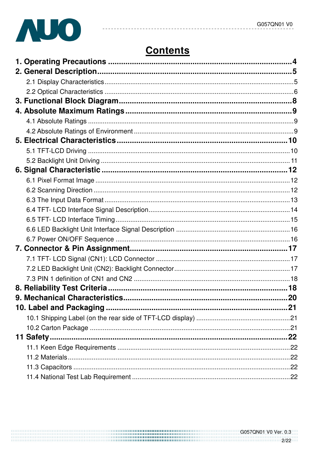

# **Contents**

 $- - - - - -$ 

<u> - - - - - - - - -</u>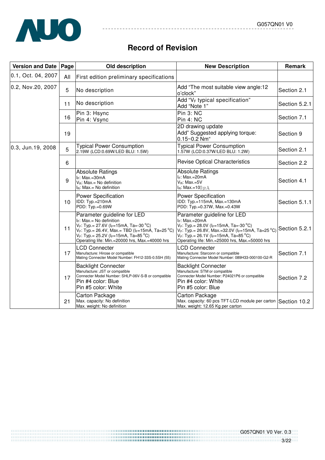

# **Record of Revision**

 $- - - - - - - - - -$ 

\_\_\_\_\_\_\_\_\_\_

| <b>Version and Date</b> | Page | Old description                                                                                                                                                                                                                                                                                           | <b>New Description</b>                                                                                                                                                                                                                                                         | Remark        |
|-------------------------|------|-----------------------------------------------------------------------------------------------------------------------------------------------------------------------------------------------------------------------------------------------------------------------------------------------------------|--------------------------------------------------------------------------------------------------------------------------------------------------------------------------------------------------------------------------------------------------------------------------------|---------------|
| 0.1, Oct. 04, 2007      | All  | First edition preliminary specifications                                                                                                                                                                                                                                                                  |                                                                                                                                                                                                                                                                                |               |
| 0.2, Nov.20, 2007       | 5    | No description                                                                                                                                                                                                                                                                                            | Add "The most suitable view angle:12<br>o'clock"                                                                                                                                                                                                                               | Section 2.1   |
|                         | 11   | No description                                                                                                                                                                                                                                                                                            | Add " $V_F$ typical specification"<br>Add "Note 1"                                                                                                                                                                                                                             | Section 5.2.1 |
|                         | 16   | Pin 3: Hsync<br>Pin 4: Vsync                                                                                                                                                                                                                                                                              | Pin 3: NC<br>Pin 4: NC                                                                                                                                                                                                                                                         | Section 7.1   |
|                         | 19   |                                                                                                                                                                                                                                                                                                           | 2D drawing update<br>Add" Suggested applying torque:<br>$0.15 - 0.2$ Nm <sup>"</sup>                                                                                                                                                                                           | Section 9     |
| 0.3, Jun.19, 2008       | 5    | <b>Typical Power Consumption</b><br>2.19W (LCD:0.69W/LED BLU: 1.5W)                                                                                                                                                                                                                                       | <b>Typical Power Consumption</b><br>1.57W (LCD:0.37W/LED BLU: 1.2W)                                                                                                                                                                                                            | Section 2.1   |
|                         | 6    |                                                                                                                                                                                                                                                                                                           | <b>Revise Optical Characteristics</b>                                                                                                                                                                                                                                          | Section 2.2   |
|                         | 9    | <b>Absolute Ratings</b><br>$I_F$ : Max.=30mA<br>$V_B$ : Max.= No definition<br>I <sub>B</sub> : Max.= No definition                                                                                                                                                                                       | <b>Absolute Ratings</b><br>$I_F$ : Max.=20mA<br>V <sub>B</sub> : Max.=5V<br>$IB$ : Max.=100 $\mu$ A                                                                                                                                                                            | Section 4.1   |
|                         | 10   | <b>Power Specification</b><br>IDD: Typ.=210mA<br>PDD: Typ.=0.69W                                                                                                                                                                                                                                          | <b>Power Specification</b><br>IDD: Typ.=115mA, Max.=130mA<br>PDD: Typ.=0.37W, Max.=0.43W                                                                                                                                                                                       | Section 5.1.1 |
|                         | 11   | Parameter guideline for LED<br>I <sub>F</sub> : Max.= No definition<br>$V_F$ : Typ.= 27.6V (I <sub>F</sub> =15mA, Ta=-30 °C)<br>$V_F$ : Typ.= 26.4V, Max.= TBD (I <sub>F</sub> =15mA, Ta=25 °C)<br>$V_F$ : Typ.= 25.2V (I <sub>F</sub> =15mA, Ta=85 °C)<br>Operating life: Min.=20000 hrs, Max.=40000 hrs | Parameter guideline for LED<br>$I_F$ : Max.=20mA<br>$V_F$ : Typ.= 28.0V (IF=15mA, Ta=-30 °C)<br>$V_F$ : Typ. = 26.8V, Max. = 32.0V (I==15mA, Ta=25 °C) Section 5.2.1<br>$V_F$ : Typ.= 26.1V (I <sub>F</sub> =15mA, Ta=85 °C)<br>Operating life: Min.=25000 hrs, Max.=50000 hrs |               |
|                         | 17   | LCD Connecter<br>Manufacture: Hirose or compatible<br>Mating Connecter Model Number: FH12-33S-0.5SH (55)                                                                                                                                                                                                  | <b>LCD Connecter</b><br>Manufacture: Starconn or compatible<br>Mating Connecter Model Number: 089H33-000100-G2-R                                                                                                                                                               | Section 7.1   |
|                         | 17   | <b>Backlight Connecter</b><br>Manufacture: JST or compatible<br>Connecter Model Number: SHLP-06V-S-B or compatible<br>Pin #4 color: Blue<br>Pin #5 color: White                                                                                                                                           | <b>Backlight Connecter</b><br>Manufacture: STM or compatible<br>Connecter Model Number: P24021P6 or compatible<br>Pin #4 color: White<br>Pin #5 color: Blue                                                                                                                    | Section 7.2   |
|                         | 21   | Carton Package<br>Max. capacity: No definition<br>Max. weight: No definition                                                                                                                                                                                                                              | Carton Package<br>Max. capacity: 60 pcs TFT-LCD module per carton Section 10.2<br>Max. weight: 12.65 Kg per carton                                                                                                                                                             |               |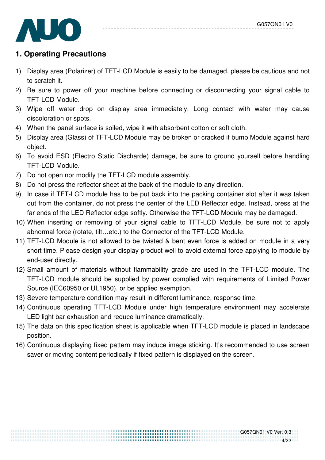

# **1. Operating Precautions**

- 1) Display area (Polarizer) of TFT-LCD Module is easily to be damaged, please be cautious and not to scratch it.
- 2) Be sure to power off your machine before connecting or disconnecting your signal cable to TFT-LCD Module.
- 3) Wipe off water drop on display area immediately. Long contact with water may cause discoloration or spots.
- 4) When the panel surface is soiled, wipe it with absorbent cotton or soft cloth.
- 5) Display area (Glass) of TFT-LCD Module may be broken or cracked if bump Module against hard object.
- 6) To avoid ESD (Electro Static Discharde) damage, be sure to ground yourself before handling TFT-LCD Module.
- 7) Do not open nor modify the TFT-LCD module assembly.
- 8) Do not press the reflector sheet at the back of the module to any direction.
- 9) In case if TFT-LCD module has to be put back into the packing container slot after it was taken out from the container, do not press the center of the LED Reflector edge. Instead, press at the far ends of the LED Reflector edge softly. Otherwise the TFT-LCD Module may be damaged.
- 10) When inserting or removing of your signal cable to TFT-LCD Module, be sure not to apply abnormal force (rotate, tilt…etc.) to the Connector of the TFT-LCD Module.
- 11) TFT-LCD Module is not allowed to be twisted & bent even force is added on module in a very short time. Please design your display product well to avoid external force applying to module by end-user directly.
- 12) Small amount of materials without flammability grade are used in the TFT-LCD module. The TFT-LCD module should be supplied by power complied with requirements of Limited Power Source (IEC60950 or UL1950), or be applied exemption.
- 13) Severe temperature condition may result in different luminance, response time.
- 14) Continuous operating TFT-LCD Module under high temperature environment may accelerate LED light bar exhaustion and reduce luminance dramatically.
- 15) The data on this specification sheet is applicable when TFT-LCD module is placed in landscape position.
- 16) Continuous displaying fixed pattern may induce image sticking. It's recommended to use screen saver or moving content periodically if fixed pattern is displayed on the screen.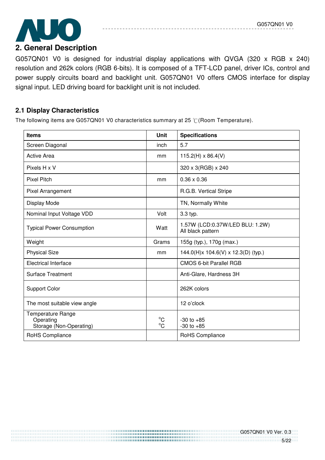

G057QN01 V0 is designed for industrial display applications with QVGA (320 x RGB x 240) resolution and 262k colors (RGB 6-bits). It is composed of a TFT-LCD panel, driver ICs, control and power supply circuits board and backlight unit. G057QN01 V0 offers CMOS interface for display signal input. LED driving board for backlight unit is not included.

## **2.1 Display Characteristics**

The following items are G057QN01 V0 characteristics summary at 25  $\degree$ C(Room Temperature).

| <b>Items</b>                                                     | <b>Unit</b>                 | <b>Specifications</b>                                |
|------------------------------------------------------------------|-----------------------------|------------------------------------------------------|
| Screen Diagonal                                                  | inch                        | 5.7                                                  |
| <b>Active Area</b>                                               | mm                          | $115.2(H) \times 86.4(V)$                            |
| Pixels H x V                                                     |                             | 320 x 3(RGB) x 240                                   |
| <b>Pixel Pitch</b>                                               | mm                          | $0.36 \times 0.36$                                   |
| Pixel Arrangement                                                |                             | R.G.B. Vertical Stripe                               |
| Display Mode                                                     |                             | TN, Normally White                                   |
| Nominal Input Voltage VDD                                        | Volt                        | 3.3 typ.                                             |
| <b>Typical Power Consumption</b>                                 | Watt                        | 1.57W (LCD:0.37W/LED BLU: 1.2W)<br>All black pattern |
| Weight                                                           | Grams                       | 155g (typ.), 170g (max.)                             |
| <b>Physical Size</b>                                             | mm                          | 144.0(H)x 104.6(V) x 12.3(D) (typ.)                  |
| <b>Electrical Interface</b>                                      |                             | <b>CMOS 6-bit Parallel RGB</b>                       |
| <b>Surface Treatment</b>                                         |                             | Anti-Glare, Hardness 3H                              |
| <b>Support Color</b>                                             |                             | 262K colors                                          |
| The most suitable view angle                                     |                             | 12 o'clock                                           |
| <b>Temperature Range</b><br>Operating<br>Storage (Non-Operating) | $^{\circ}C$<br>$^{\circ}$ C | $-30$ to $+85$<br>$-30$ to $+85$                     |
| RoHS Compliance                                                  |                             | RoHS Compliance                                      |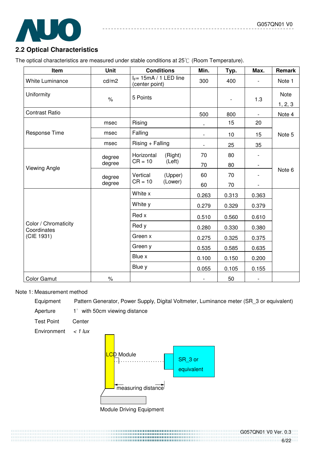

# **2.2 Optical Characteristics**

The optical characteristics are measured under stable conditions at 25°C (Room Temperature).

| Item                                | <b>Unit</b> | <b>Conditions</b>                           |         | Min.                     | Typ.  | Max.                     | Remark          |
|-------------------------------------|-------------|---------------------------------------------|---------|--------------------------|-------|--------------------------|-----------------|
| <b>White Luminance</b>              | cd/m2       | $I_F$ = 15mA / 1 LED line<br>(center point) |         | 300                      | 400   |                          | Note 1          |
| Uniformity                          | $\%$        | 5 Points                                    |         |                          |       | 1.3                      | Note<br>1, 2, 3 |
| <b>Contrast Ratio</b>               |             |                                             |         | 500                      | 800   |                          | Note 4          |
|                                     | msec        | Rising                                      |         | $\overline{\phantom{a}}$ | 15    | 20                       |                 |
| Response Time                       | msec        | Falling                                     |         | $\overline{\phantom{a}}$ | 10    | 15                       | Note 5          |
|                                     | msec        | $Rising + Falling$                          |         | $\overline{\phantom{a}}$ | 25    | 35                       |                 |
|                                     | degree      | Horizontal                                  | (Right) | 70                       | 80    |                          |                 |
| <b>Viewing Angle</b>                | degree      | $CR = 10$                                   | (Left)  | 70                       | 80    | $\overline{\phantom{a}}$ |                 |
|                                     | degree      | Vertical                                    | (Upper) | 60                       | 70    |                          | Note 6          |
|                                     | degree      | $CR = 10$                                   | (Lower) | 60                       | 70    | $\overline{\phantom{a}}$ |                 |
|                                     |             | White x                                     |         | 0.263                    | 0.313 | 0.363                    |                 |
|                                     |             | White y                                     |         | 0.279                    | 0.329 | 0.379                    |                 |
|                                     |             | Red x                                       |         | 0.510                    | 0.560 | 0.610                    |                 |
| Color / Chromaticity<br>Coordinates |             | Red y                                       |         | 0.280                    | 0.330 | 0.380                    |                 |
| (CIE 1931)                          |             | Green x                                     |         | 0.275                    | 0.325 | 0.375                    |                 |
|                                     |             | Green y                                     |         | 0.535                    | 0.585 | 0.635                    |                 |
|                                     |             | Blue x                                      |         | 0.100                    | 0.150 | 0.200                    |                 |
|                                     |             | Blue y                                      |         | 0.055                    | 0.105 | 0.155                    |                 |
| <b>Color Gamut</b>                  | $\%$        |                                             |         | $\overline{\phantom{a}}$ | 50    |                          |                 |

#### Note 1: Measurement method

Equipment Pattern Generator, Power Supply, Digital Voltmeter, Luminance meter (SR\_3 or equivalent)

Aperture  $1^\circ$  with 50cm viewing distance

Test Point Center

Environment  $\lt$  1 lux

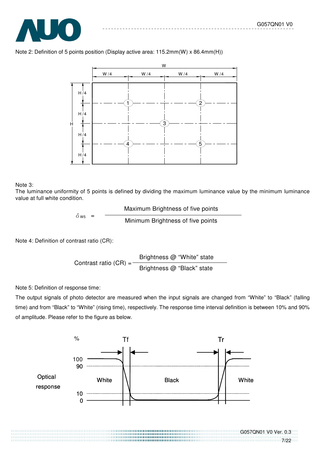

#### Note 2: Definition of 5 points position (Display active area: 115.2mm(W) x 86.4mm(H))



#### Note 3:

The luminance uniformity of 5 points is defined by dividing the maximum luminance value by the minimum luminance value at full white condition.

$$
\delta_{\text{W5}} = \frac{\text{Maximum Brightness of five points}}{\text{Minimum Brightness of five points}}
$$

Note 4: Definition of contrast ratio (CR):

Contrast ratio  $(CR) =$ Brightness @ "White" state Brightness @ "Black" state

Note 5: Definition of response time:

The output signals of photo detector are measured when the input signals are changed from "White" to "Black" (falling time) and from "Black" to "White" (rising time), respectively. The response time interval definition is between 10% and 90% of amplitude. Please refer to the figure as below.

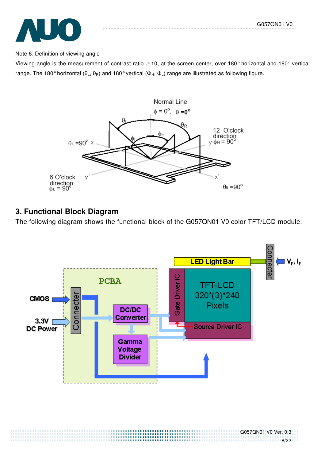G057QN01 V0 Ver. 0.3

8/22



#### Note 6: Definition of viewing angle

Viewing angle is the measurement of contrast ratio  $\geq$  10, at the screen center, over 180° horizontal and 180° vertical range. The 180° horizontal (θ<sub>L</sub>, θ<sub>R</sub>) and 180° vertical (Φ<sub>H</sub>, Φ<sub>L</sub>) range are illustrated as following figure.



# **3. Functional Block Diagram**

The following diagram shows the functional block of the G057QN01 V0 color TFT/LCD module.

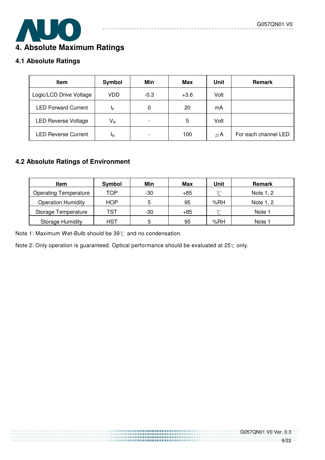# $\overline{\phantom{a}}$ **4. Absolute Maximum Ratings**

# **4.1 Absolute Ratings**

| <b>Item</b>                | Symbol                  | Min    | Max    | Unit    | <b>Remark</b>        |
|----------------------------|-------------------------|--------|--------|---------|----------------------|
| Logic/LCD Drive Voltage    | VDD                     | $-0.3$ | $+3.6$ | Volt    |                      |
| <b>LED Forward Current</b> | ΙF                      | 0      | 20     | mA      |                      |
| <b>LED Reverse Voltage</b> | $\mathsf{V}_\mathsf{R}$ |        | 5      | Volt    |                      |
| <b>LED Reverse Current</b> | ΙŖ                      |        | 100    | $\mu$ A | For each channel LED |

<u> - - - - - - - -</u>

# **4.2 Absolute Ratings of Environment**

| <b>Item</b>                  | Symbol     | Min | Max   | Unit | <b>Remark</b> |
|------------------------------|------------|-----|-------|------|---------------|
| <b>Operating Temperature</b> | TOP        | -30 | $+85$ | ∽    | Note 1, 2     |
| <b>Operation Humidity</b>    | <b>HOP</b> | 5   | 95    | %RH  | Note 1, 2     |
| Storage Temperature          | TST        | -30 | $+85$ | ∽    | Note 1        |
| <b>Storage Humidity</b>      | HST        | 5   | 95    | %RH  | Note 1        |

Note 1: Maximum Wet-Bulb should be  $39^{\circ}$  and no condensation.

Note 2: Only operation is guaranteed. Optical performance should be evaluated at 25°C only.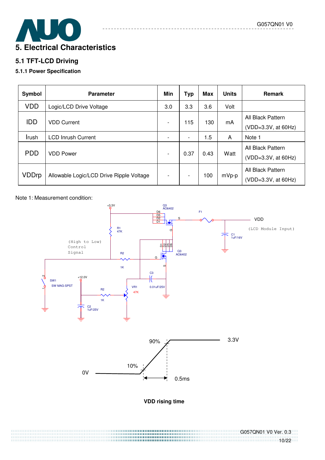10/22



# **5.1 TFT-LCD Driving**

#### **5.1.1 Power Specification**

| Symbol     | <b>Parameter</b>                         | Min | <b>Typ</b>               | Max  | <b>Units</b> | <b>Remark</b>                            |
|------------|------------------------------------------|-----|--------------------------|------|--------------|------------------------------------------|
| <b>VDD</b> | Logic/LCD Drive Voltage                  | 3.0 | 3.3                      | 3.6  | Volt         |                                          |
| <b>IDD</b> | <b>VDD Current</b>                       |     | 115                      | 130  | mA           | All Black Pattern<br>(VDD=3.3V, at 60Hz) |
| Irush      | <b>LCD Inrush Current</b>                |     | $\overline{\phantom{a}}$ | 1.5  | A            | Note 1                                   |
| <b>PDD</b> | <b>VDD Power</b>                         |     | 0.37                     | 0.43 | Watt         | All Black Pattern<br>(VDD=3.3V, at 60Hz) |
| VDDrp      | Allowable Logic/LCD Drive Ripple Voltage |     | $\overline{\phantom{a}}$ | 100  | mVp-p        | All Black Pattern<br>(VDD=3.3V, at 60Hz) |

Note 1: Measurement condition:



G057QN01 V0 Ver. 0.3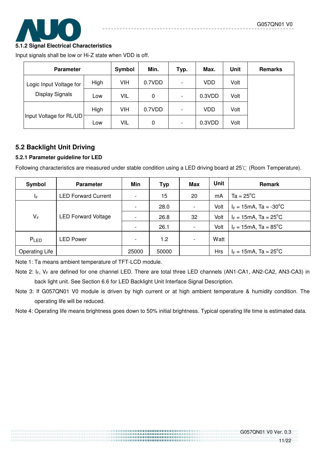

#### **5.1.2 Signal Electrical Characteristics**

Input signals shall be low or Hi-Z state when VDD is off.

| <b>Parameter</b>        |      | Symbol     | Min.   | Typ. | Max.   | <b>Unit</b> | <b>Remarks</b> |
|-------------------------|------|------------|--------|------|--------|-------------|----------------|
| Logic Input Voltage for | High | VIH        | 0.7VDD |      | VDD    | Volt        |                |
| <b>Display Signals</b>  | Low  | VIL        | 0      |      | 0.3VDD | Volt        |                |
|                         | High | <b>VIH</b> | 0.7VDD |      | VDD    | Volt        |                |
| Input Voltage for RL/UD | Low  | VIL        | 0      | -    | 0.3VDD | Volt        |                |

# **5.2 Backlight Unit Driving**

#### **5.2.1 Parameter guideline for LED**

Following characteristics are measured under stable condition using a LED driving board at 25°C (Room Temperature).

| Symbol                | <b>Parameter</b>           | Min                      | Typ   | Max                      | Unit       | <b>Remark</b>                                  |
|-----------------------|----------------------------|--------------------------|-------|--------------------------|------------|------------------------------------------------|
| ΙF                    | <b>LED Forward Current</b> | $\overline{\phantom{a}}$ | 15    | 20                       | mA         | $Ta = 25^{\circ}C$                             |
|                       |                            | $\overline{\phantom{a}}$ | 28.0  | $\overline{\phantom{a}}$ | Volt       | $I_F = 15 \text{mA}$ , Ta = -30 <sup>o</sup> C |
| $V_F$                 | <b>LED Forward Voltage</b> | $\overline{\phantom{a}}$ | 26.8  | 32                       | Volt       | $I_F = 15 \text{mA}$ , Ta = 25 <sup>o</sup> C  |
|                       |                            | $\overline{\phantom{a}}$ | 26.1  | $\overline{\phantom{a}}$ | Volt       | $I_F = 15 \text{mA}$ , Ta = 85 <sup>o</sup> C  |
| PLED                  | <b>LED Power</b>           | $\overline{\phantom{a}}$ | 1.2   | $\overline{\phantom{a}}$ | Watt       |                                                |
| <b>Operating Life</b> |                            | 25000                    | 50000 |                          | <b>Hrs</b> | $I_F = 15 \text{mA}$ , Ta = 25 <sup>o</sup> C  |

Note 1: Ta means ambient temperature of TFT-LCD module.

Note 3: If G057QN01 V0 module is driven by high current or at high ambient temperature & humidity condition. The operating life will be reduced.

Note 4: Operating life means brightness goes down to 50% initial brightness. Typical operating life time is estimated data.

Note 2:  $I_F$ ,  $V_F$  are defined for one channel LED. There are total three LED channels (AN1-CA1, AN2-CA2, AN3-CA3) in back light unit. See Section 6.6 for LED Backlight Unit Interface Signal Description.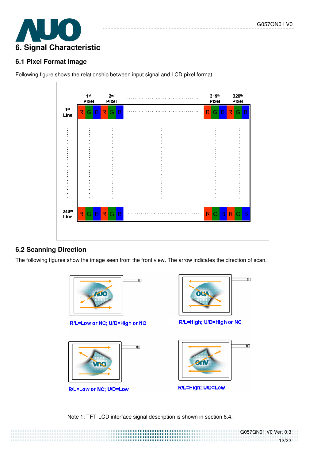

# **6.1 Pixel Format Image**

Following figure shows the relationship between input signal and LCD pixel format.

|                         | 1 <sup>st</sup><br>Pixel | 2 <sub>nd</sub><br>Pixel | . | 319th<br>Pixel           | 320th<br>Pixel         |
|-------------------------|--------------------------|--------------------------|---|--------------------------|------------------------|
| 1 <sup>st</sup><br>Line | $\mathsf{R}$<br>B<br>G   | $\mathsf{R}$<br>B<br>G   |   | R <sub>1</sub><br>G<br>B | $\mathsf{R}$<br>G<br>B |
|                         |                          |                          |   |                          |                        |
|                         |                          |                          |   |                          |                        |
|                         |                          |                          |   |                          |                        |
|                         |                          |                          |   |                          |                        |
|                         |                          |                          |   |                          |                        |
| 240th                   | $R$ G $B$ $R$            | G<br>B                   |   |                          | RGBRGB                 |
| Line                    |                          |                          |   |                          |                        |

# **6.2 Scanning Direction**

The following figures show the image seen from the front view. The arrow indicates the direction of scan.





G057QN01 V0 Ver. 0.3<br>12/22

12/22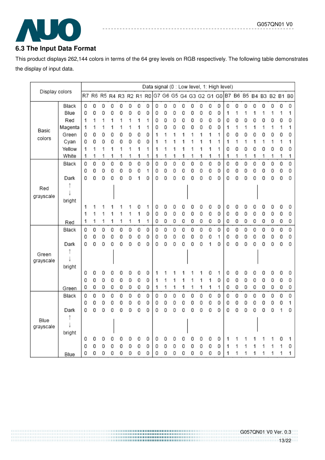# $\overline{\phantom{a}}$

# **6.3 The Input Data Format**

This product displays 262,144 colors in terms of the 64 grey levels on RGB respectively. The following table demonstrates the display of input data.

|                   |                |        |        |        |                         |        |        |        | Data signal (0 : Low level, 1: High level) |        |        |        |        |        |                         |        |        |        |                         |        |        |        |        |        |        |
|-------------------|----------------|--------|--------|--------|-------------------------|--------|--------|--------|--------------------------------------------|--------|--------|--------|--------|--------|-------------------------|--------|--------|--------|-------------------------|--------|--------|--------|--------|--------|--------|
| Display colors    |                |        |        |        | R7 R6 R5 R4 R3 R2 R1 R0 |        |        |        |                                            |        |        |        |        |        | G7 G6 G5 G4 G3 G2 G1 G0 |        |        |        | B7 B6 B5 B4 B3 B2 B1 B0 |        |        |        |        |        |        |
|                   | Black          | 0      | 0      | 0      | 0                       | 0      | 0      | 0      | 0                                          | 0      | 0      | 0      | 0      | 0      | 0                       | 0      | 0      | 0      | 0                       | 0      | 0      | 0      | 0      | 0      | 0      |
|                   | Blue           | 0      | 0      | 0      | 0                       | 0      | 0      | 0      | 0                                          | 0      | 0      | 0      | 0      | 0      | 0                       | 0      | 0      | 1      | 1                       | 1      | 1      | 1      | 1      | 1      | 1      |
|                   | Red            | 1      | 1      | 1      | 1                       | 1      | 1      | 1      | 1                                          | 0      | 0      | 0      | 0      | 0      | 0                       | 0      | 0      | 0      | 0                       | 0      | 0      | 0      | 0      | 0      | 0      |
| Basic             | Magenta        | 1      | 1      | 1      | 1                       | 1      | 1      | 1      | 1                                          | 0      | 0      | 0      | 0      | 0      | 0                       | 0      | 0      | 1      | 1                       | 1      | 1      | 1      | 1      | 1      | 1      |
| colors            | Green          | 0      | 0      | 0      | 0                       | 0      | 0      | 0      | 0                                          | 1      | 1      | 1      | 1      |        | 1                       | 1      | 1      | 0      | 0                       | 0      | 0      | 0      | 0      | 0      | 0      |
|                   | Cyan           | 0      | 0      | 0      | 0                       | 0      | 0      | 0      | 0                                          | 1      | 1      | 1      | 1      |        | 1                       | 1      | 1      | 1      | 1                       | 1      | 1      | 1      | 1      | 1      | 1      |
|                   | Yellow         | 1      | 1      | 1      | 1                       | 1      | 1      | 1      | 1                                          | 1      | 1      | 1      | 1      |        | 1                       | 1      | 1      | 0      | 0                       | 0      | 0      | 0      | 0      | 0      | 0      |
|                   | White          | 1      | 1      | 1      | 1                       | 1      | 1      | 1      | 1                                          | 1      | 1      | 1      | 1      | 1      | 1                       | 1      | 1      | 1      | 1                       | 1      | 1      | 1      | 1      | 1      | 1      |
|                   | Black          | 0      | 0      | 0      | 0                       | 0      | 0      | 0      | 0                                          | 0      | 0      | 0      | 0      | 0      | 0                       | 0      | 0      | 0      | 0                       | 0      | 0      | 0      | 0      | 0      | 0      |
|                   | Dark           | 0<br>0 | 0<br>0 | 0<br>0 | 0<br>0                  | 0<br>0 | 0<br>0 | 0<br>1 | 1<br>0                                     | 0<br>0 | 0<br>0 | 0<br>0 | 0<br>0 | 0<br>0 | 0<br>0                  | 0<br>0 | 0<br>0 | 0<br>0 | 0<br>0                  | 0<br>0 | 0<br>0 | 0<br>0 | 0<br>0 | 0<br>0 | 0<br>0 |
|                   |                |        |        |        |                         |        |        |        |                                            |        |        |        |        |        |                         |        |        |        |                         |        |        |        |        |        |        |
| Red               |                |        |        |        |                         |        |        |        |                                            |        |        |        |        |        |                         |        |        |        |                         |        |        |        |        |        |        |
| grayscale         | bright         |        |        |        |                         |        |        |        |                                            |        |        |        |        |        |                         |        |        |        |                         |        |        |        |        |        |        |
|                   |                | 1      | 1      | 1      |                         |        |        | 0      | 1                                          | 0      | 0      | 0      | 0      | 0      | 0                       | 0      | 0      | 0      | 0                       | 0      | 0      | 0      | 0      | 0      | 0      |
|                   |                | 1      | 1      | 1      | 1                       | 1      | 1      | 1      | 0                                          | 0      | 0      | 0      | 0      | 0      | 0                       | 0      | 0      | 0      | 0                       | 0      | 0      | 0      | 0      | 0      | 0      |
|                   | Red            | 1      | 1      | 1      | 1                       | 1      | 1      | 1      | 1                                          | 0      | 0      | 0      | 0      | 0      | 0                       | 0      | 0      | 0      | 0                       | 0      | 0      | 0      | 0      | 0      | 0      |
|                   | Black          | 0      | 0      | 0      | 0                       | 0      | 0      | 0      | 0                                          | 0      | 0      | 0      | 0      | 0      | 0                       | 0      | 0      | 0      | 0                       | 0      | 0      | 0      | 0      | 0      | 0      |
|                   |                | 0      | 0      | 0      | 0                       | 0      | 0      | 0      | 0                                          | 0      | 0      | 0      | 0      | 0      | 0                       | 0      | 1      | 0      | 0                       | 0      | 0      | 0      | 0      | 0      | 0      |
|                   | Dark           | 0      | 0      | 0      | 0                       | 0      | 0      | 0      | 0                                          | 0      | 0      | 0      | 0      | 0      | 0                       | 1      | 0      | 0      | 0                       | 0      | 0      | 0      | 0      | 0      | 0      |
| Green             |                |        |        |        |                         |        |        |        |                                            |        |        |        |        |        |                         |        |        |        |                         |        |        |        |        |        |        |
| grayscale         |                |        |        |        |                         |        |        |        |                                            |        |        |        |        |        |                         |        |        |        |                         |        |        |        |        |        |        |
|                   | bright         |        |        |        |                         |        |        |        |                                            |        | 1      |        |        |        |                         |        |        |        |                         |        |        |        |        |        |        |
|                   |                | 0<br>0 | 0<br>0 | 0<br>0 | 0<br>0                  | 0<br>0 | 0<br>0 | 0<br>0 | 0<br>0                                     | 1      | 1      | 1      | 1      |        | 1                       | 0<br>1 | 1<br>0 | 0<br>0 | 0<br>0                  | 0<br>0 | 0<br>0 | 0<br>0 | 0<br>0 | 0<br>0 | 0<br>0 |
|                   |                | 0      | 0      | 0      | 0                       | 0      | 0      | 0      | 0                                          | 1      | 1      | 1      | 1      | 1      | 1                       | 1      | 1      | 0      | 0                       | 0      | 0      | 0      | 0      | 0      | 0      |
|                   | Green<br>Black | 0      | 0      | 0      | 0                       | 0      | 0      | 0      | 0                                          | 0      | 0      | 0      | 0      | 0      | 0                       | 0      | 0      | 0      | 0                       | 0      | 0      | 0      | 0      | 0      | 0      |
|                   |                | 0      | 0      | 0      | 0                       | 0      | 0      | 0      | 0                                          | 0      | 0      | 0      | 0      | 0      | 0                       | 0      | 0      | 0      | 0                       | 0      | 0      | 0      | 0      | 0      | 1      |
|                   | Dark           | 0      | 0      | 0      | 0                       | 0      | 0      | 0      | 0                                          | 0      | 0      | 0      | 0      | 0      | 0                       | 0      | 0      | 0      | 0                       | 0      | 0      | 0      | 0      | 1      | 0      |
|                   |                |        |        |        |                         |        |        |        |                                            |        |        |        |        |        |                         |        |        |        |                         |        |        |        |        |        |        |
| Blue<br>grayscale |                |        |        |        |                         |        |        |        |                                            |        |        |        |        |        |                         |        |        |        |                         |        |        |        |        |        |        |
|                   | bright         |        |        |        |                         |        |        |        |                                            |        |        |        |        |        |                         |        |        |        |                         |        |        |        |        |        |        |
|                   |                | 0      | 0      | 0      | 0                       | 0      | 0      | 0      | 0                                          | 0      | 0      | 0      | 0      | 0      | 0                       | 0      | 0      | 1      | 1                       |        |        |        |        | 0      | 1      |
|                   |                | 0      | 0      | 0      | 0                       | 0      | 0      | 0      | 0                                          | 0      | 0      | 0      | 0      | 0      | 0                       | 0      | 0      | 1      | 1                       |        |        |        | 1      | 1      | 0      |
|                   | Blue           | 0      | 0      | 0      | 0                       | 0      | 0      | 0      | 0                                          | 0      | 0      | 0      | 0      | 0      | 0                       | 0      | 0      | 1      | 1                       |        | 1      | 1      | 1      | 1      | 1      |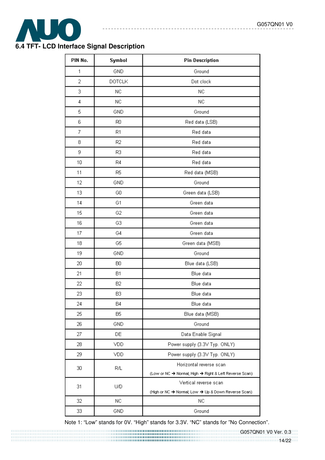

# **6.4 TFT- LCD Interface Signal Description**

| PIN No. | Symbol         | <b>Pin Description</b>                                 |
|---------|----------------|--------------------------------------------------------|
| 1       | GND            | Ground                                                 |
| 2       | <b>DOTCLK</b>  | Dot clock                                              |
| З       | NC.            | <b>NC</b>                                              |
| 4       | NC.            | NC.                                                    |
| 5       | <b>GND</b>     | Ground                                                 |
| 6       | R <sub>0</sub> | Red data (LSB)                                         |
| 7       | R1             | Red data                                               |
| 8       | R <sub>2</sub> | Red data                                               |
| 9       | R3             | Red data                                               |
| 10      | R4             | Red data                                               |
| 11      | R5             | Red data (MSB)                                         |
| 12      | GND            | Ground                                                 |
| 13      | GO             | Green data (LSB)                                       |
| 14      | G1             | Green data                                             |
| 15      | G <sub>2</sub> | Green data                                             |
| 16      | G3             | Green data                                             |
| 17      | G4             | Green data                                             |
| 18      | G5             | Green data (MSB)                                       |
| 19      | GND            | Ground                                                 |
| 20      | B <sub>0</sub> | Blue data (LSB)                                        |
| 21      | <b>B1</b>      | Blue data                                              |
| 22      | B <sub>2</sub> | Blue data                                              |
| 23      | B3             | Blue data                                              |
| 24      | B4             | Blue data                                              |
| 25      | B5             | Blue data (MSB)                                        |
| 26      | GND            | Ground                                                 |
| 27      | DE             | Data Enable Signal                                     |
| 28      | VDD            | Power supply (3.3V Typ. ONLY)                          |
| 29      | VDD            | Power supply (3.3V Typ. ONLY)                          |
| 30      | R/L            | Horizontal reverse scan                                |
|         |                | (Low or NC → Normal; High → Right & Left Reverse Scan) |
| 31      | U/D            | Vertical reverse scan                                  |
|         |                | (High or NC → Normal; Low → Up & Down Reverse Scan)    |
| 32      | NC.            | ΝC                                                     |
| 33      | GND            | Ground                                                 |

-------------------------------

Note 1: "Low" stands for 0V. "High" stands for 3.3V. "NC" stands for "No Connection".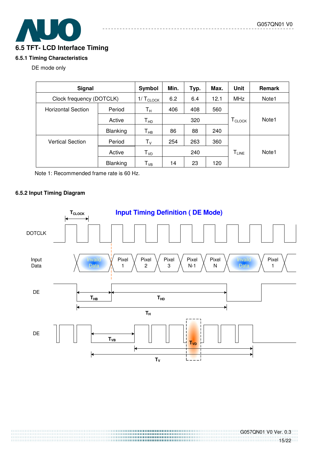# **6.5 TFT- LCD Interface Timing**

#### **6.5.1 Timing Characteristics**

#### DE mode only

| <b>Signal</b>                       | Symbol                | Min.                       | Typ.       | Max. | Unit       | Remark       |       |
|-------------------------------------|-----------------------|----------------------------|------------|------|------------|--------------|-------|
| Clock frequency (DOTCLK)            | $1/ T_{\text{CLOCK}}$ | 6.2                        | 6.4        | 12.1 | <b>MHz</b> | Note1        |       |
| Period<br><b>Horizontal Section</b> |                       | Tн                         | 406<br>408 |      | 560        |              |       |
|                                     | Active                | $T_{HD}$                   | 320        |      |            | <b>CLOCK</b> | Note1 |
|                                     | Blanking              | $T_{HB}$                   | 86         | 88   | 240        |              |       |
| <b>Vertical Section</b>             | Period                | ${\sf T}_{\sf V}$          | 254        | 263  | 360        |              |       |
|                                     | Active                | $\mathsf{T}_{\mathsf{VD}}$ |            | 240  |            | $T_{LINE}$   | Note1 |
|                                     | <b>Blanking</b>       | $\mathsf{T}_{\mathsf{VB}}$ | 14         | 23   | 120        |              |       |

Note 1: Recommended frame rate is 60 Hz.

#### **6.5.2 Input Timing Diagram**

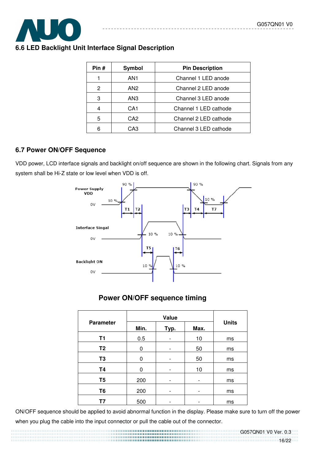

### **6.6 LED Backlight Unit Interface Signal Description**

| Pin# | Symbol          | <b>Pin Description</b> |
|------|-----------------|------------------------|
|      | AN <sub>1</sub> | Channel 1 LED anode    |
| 2    | AN <sub>2</sub> | Channel 2 LED anode    |
| 3    | AN3             | Channel 3 LED anode    |
|      | CA <sub>1</sub> | Channel 1 LED cathode  |
| 5    | CA <sub>2</sub> | Channel 2 LED cathode  |
| հ    | CA3             | Channel 3 LED cathode  |

 $- - - - - -$ 

#### **6.7 Power ON/OFF Sequence**

VDD power, LCD interface signals and backlight on/off sequence are shown in the following chart. Signals from any system shall be Hi-Z state or low level when VDD is off.



# **Power ON/OFF sequence timing**

| <b>Parameter</b> | Min. | Typ. | Max. | <b>Units</b> |
|------------------|------|------|------|--------------|
| T1               | 0.5  |      | 10   | ms           |
| T <sub>2</sub>   | 0    | -    | 50   | ms           |
| T <sub>3</sub>   | 0    |      | 50   | ms           |
| <b>T4</b>        | 0    | -    | 10   | ms           |
| T <sub>5</sub>   | 200  |      |      | ms           |
| T <sub>6</sub>   | 200  |      | -    | ms           |
| Τ7               | 500  |      | -    | ms           |

ON/OFF sequence should be applied to avoid abnormal function in the display. Please make sure to turn off the power when you plug the cable into the input connector or pull the cable out of the connector.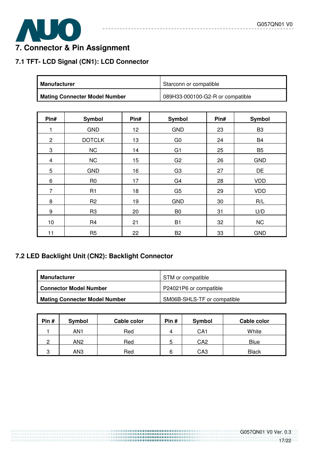

# **7. Connector & Pin Assignment**

# **7.1 TFT- LCD Signal (CN1): LCD Connector**

| <b>Manufacturer</b>                  | Starconn or compatible           |
|--------------------------------------|----------------------------------|
| <b>Mating Connecter Model Number</b> | 089H33-000100-G2-R or compatible |

\_\_\_\_\_\_\_\_\_\_\_\_

---------------

| Pin#           | Symbol         | Pin#            | <b>Symbol</b>  | Pin# | <b>Symbol</b>  |
|----------------|----------------|-----------------|----------------|------|----------------|
|                | <b>GND</b>     | 12 <sub>2</sub> | <b>GND</b>     | 23   | B <sub>3</sub> |
| $\mathbf{2}$   | <b>DOTCLK</b>  | 13              | G <sub>0</sub> | 24   | B4             |
| 3              | <b>NC</b>      | 14              | G <sub>1</sub> | 25   | B <sub>5</sub> |
| $\overline{4}$ | <b>NC</b>      | 15              | G <sub>2</sub> | 26   | <b>GND</b>     |
| 5              | <b>GND</b>     | 16              | G <sub>3</sub> | 27   | <b>DE</b>      |
| 6              | R <sub>0</sub> | 17              | G <sub>4</sub> | 28   | <b>VDD</b>     |
| 7              | R1             | 18              | G <sub>5</sub> | 29   | <b>VDD</b>     |
| 8              | R <sub>2</sub> | 19              | <b>GND</b>     | 30   | R/L            |
| 9              | R <sub>3</sub> | 20              | B <sub>0</sub> | 31   | U/D            |
| 10             | R <sub>4</sub> | 21              | B <sub>1</sub> | 32   | <b>NC</b>      |
| 11             | R <sub>5</sub> | 22              | B <sub>2</sub> | 33   | <b>GND</b>     |

# **7.2 LED Backlight Unit (CN2): Backlight Connector**

| Manufacturer                         | STM or compatible           |
|--------------------------------------|-----------------------------|
| <b>Connector Model Number</b>        | P24021P6 or compatible      |
| <b>Mating Connecter Model Number</b> | SM06B-SHLS-TF or compatible |

| Pin# | Symbol | Cable color | Pin# | Symbol | Cable color  |
|------|--------|-------------|------|--------|--------------|
|      | AN1    | Red         | 4    | CA1    | White        |
| C    | AN2    | Red         | ა    | CA2    | Blue         |
| 3    | AN3    | Red         | 6    | CA3    | <b>Black</b> |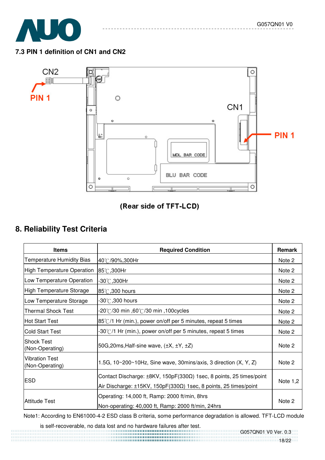

# **7.3 PIN 1 definition of CN1 and CN2**



# (Rear side of TFT-LCD)

# **8. Reliability Test Criteria**

| <b>Items</b>                         | <b>Required Condition</b>                                                      | Remark     |  |  |
|--------------------------------------|--------------------------------------------------------------------------------|------------|--|--|
| <b>Temperature Humidity Bias</b>     | 40℃/90%,300Hr                                                                  | Note 2     |  |  |
| High Temperature Operation           | 85℃,300Hr                                                                      | Note 2     |  |  |
| Low Temperature Operation            | -30℃,300Hr                                                                     | Note 2     |  |  |
| <b>High Temperature Storage</b>      | 85°C, 300 hours                                                                | Note 2     |  |  |
| Low Temperature Storage              | -30 $^\circ\!{\rm C}$ ,300 hours                                               | Note 2     |  |  |
| <b>Thermal Shock Test</b>            | 100cycles, omin ,60℃/30 min, 100cycles                                         | Note 2     |  |  |
| <b>Hot Start Test</b>                | $85^{\circ}$ /1 Hr (min.), power on/off per 5 minutes, repeat 5 times          | Note 2     |  |  |
| <b>Cold Start Test</b>               | $-30^{\circ}$ (1 Hr (min.), power on/off per 5 minutes, repeat 5 times         | Note 2     |  |  |
| <b>Shock Test</b><br>(Non-Operating) | 50G, 20ms, Half-sine wave, $(\pm X, \pm Y, \pm Z)$                             | Note 2     |  |  |
| Vibration Test<br>(Non-Operating)    | 1.5G, $10~200~10$ Hz, Sine wave, 30mins/axis, 3 direction $(X, Y, Z)$          | Note 2     |  |  |
|                                      | Contact Discharge: ±8KV, 150pF(330Ω) 1sec, 8 points, 25 times/point            | Note $1,2$ |  |  |
| <b>ESD</b>                           | Air Discharge: $\pm$ 15KV, 150pF(330 $\Omega$ ) 1sec, 8 points, 25 times/point |            |  |  |
|                                      | Operating: 14,000 ft, Ramp: 2000 ft/min, 8hrs                                  | Note 2     |  |  |
| <b>Attitude Test</b>                 | Non-operating: 40,000 ft, Ramp: 2000 ft/min, 24hrs                             |            |  |  |

Note1: According to EN61000-4-2 ESD class B criteria, some performance degradation is allowed. TFT-LCD module

is self-recoverable, no data lost and no hardware failures after test.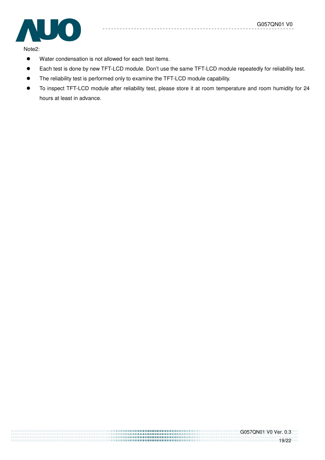

Note2:

- Water condensation is not allowed for each test items.
- Each test is done by new TFT-LCD module. Don't use the same TFT-LCD module repeatedly for reliability test.
- The reliability test is performed only to examine the TFT-LCD module capability.
- To inspect TFT-LCD module after reliability test, please store it at room temperature and room humidity for 24 hours at least in advance.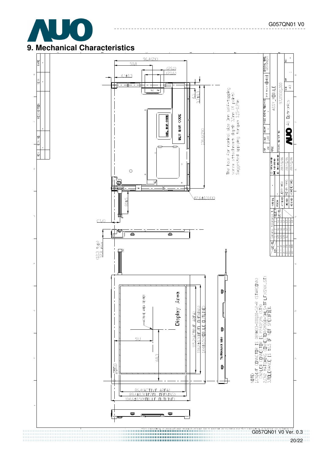

# **9. Mechanical Characteristics**

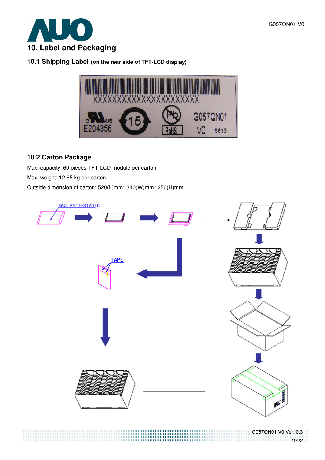

**10.1 Shipping Label (on the rear side of TFT-LCD display)** 



## **10.2 Carton Package**

Max. capacity: 60 pieces TFT-LCD module per carton Max. weight: 12.65 kg per carton Outside dimension of carton: 520(L)mm\* 340(W)mm\* 250(H)mm



21/22